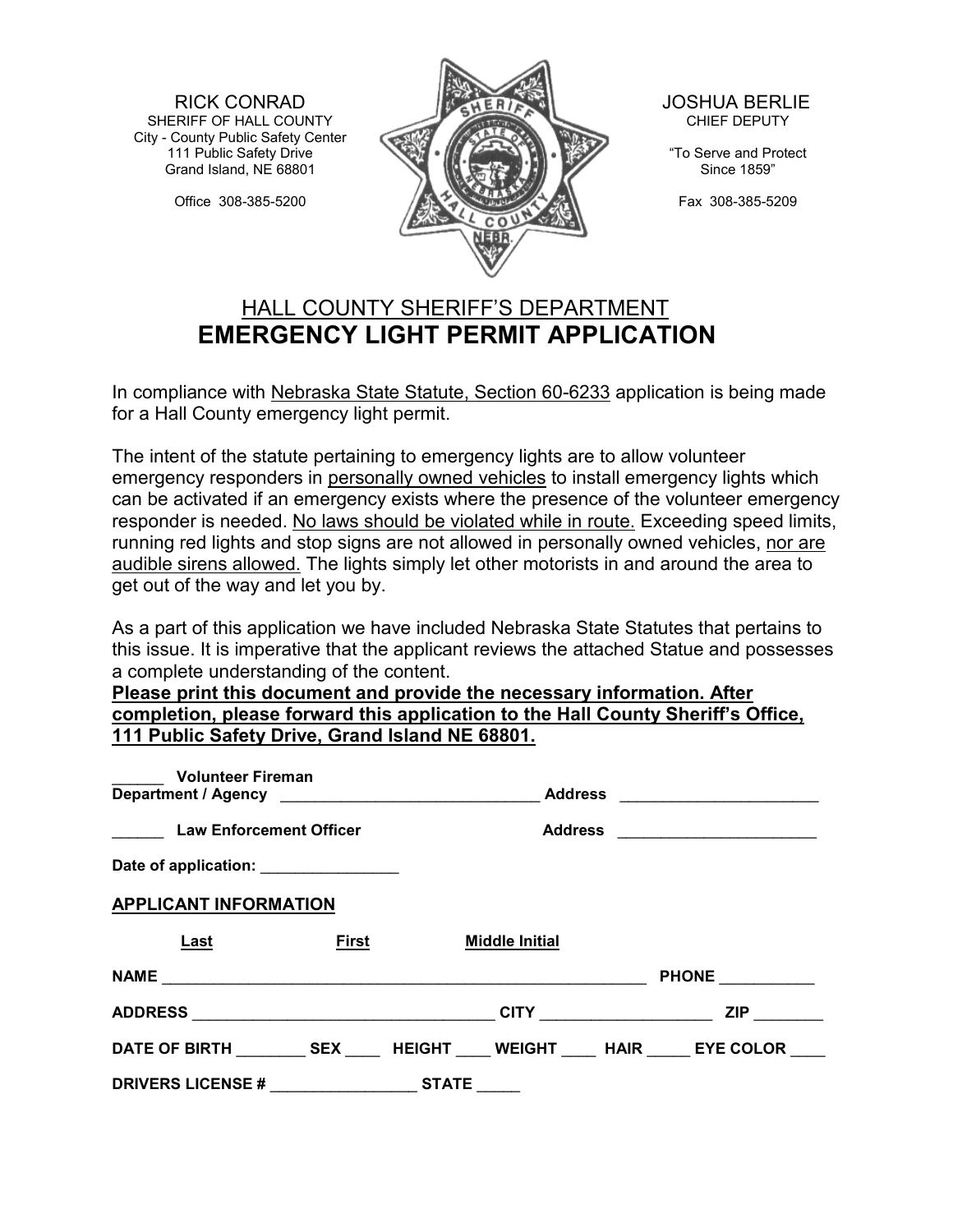RICK CONRAD SHERIFF OF HALL COUNTY City - County Public Safety Center 111 Public Safety Drive Grand Island, NE 68801

Office 308-385-5200



 JOSHUA BERLIE CHIEF DEPUTY

"To Serve and Protect Since 1859"

Fax 308-385-5209

## HALL COUNTY SHERIFF'S DEPARTMENT **EMERGENCY LIGHT PERMIT APPLICATION**

In compliance with Nebraska State Statute, Section 60-6233 application is being made for a Hall County emergency light permit.

The intent of the statute pertaining to emergency lights are to allow volunteer emergency responders in personally owned vehicles to install emergency lights which can be activated if an emergency exists where the presence of the volunteer emergency responder is needed. No laws should be violated while in route. Exceeding speed limits, running red lights and stop signs are not allowed in personally owned vehicles, nor are audible sirens allowed. The lights simply let other motorists in and around the area to get out of the way and let you by.

As a part of this application we have included Nebraska State Statutes that pertains to this issue. It is imperative that the applicant reviews the attached Statue and possesses a complete understanding of the content.

**Please print this document and provide the necessary information. After completion, please forward this application to the Hall County Sheriff's Office, 111 Public Safety Drive, Grand Island NE 68801.**

| <b>Volunteer Fireman</b>                       |              |                |                       |                         |              |
|------------------------------------------------|--------------|----------------|-----------------------|-------------------------|--------------|
|                                                |              | <b>Address</b> |                       |                         |              |
| <b>Law Enforcement Officer</b>                 |              |                | <b>Address</b>        |                         |              |
| Date of application: ________________          |              |                |                       |                         |              |
| <b>APPLICANT INFORMATION</b>                   |              |                |                       |                         |              |
| Last                                           | <b>First</b> |                | <b>Middle Initial</b> |                         |              |
|                                                |              |                |                       |                         | <b>PHONE</b> |
|                                                |              |                |                       | CITY __________________ | <b>ZIP</b>   |
| DATE OF BIRTH SEX HEIGHT WEIGHT HAIR EYE COLOR |              |                |                       |                         |              |
| <b>DRIVERS LICENSE#</b>                        |              | <b>STATE</b>   |                       |                         |              |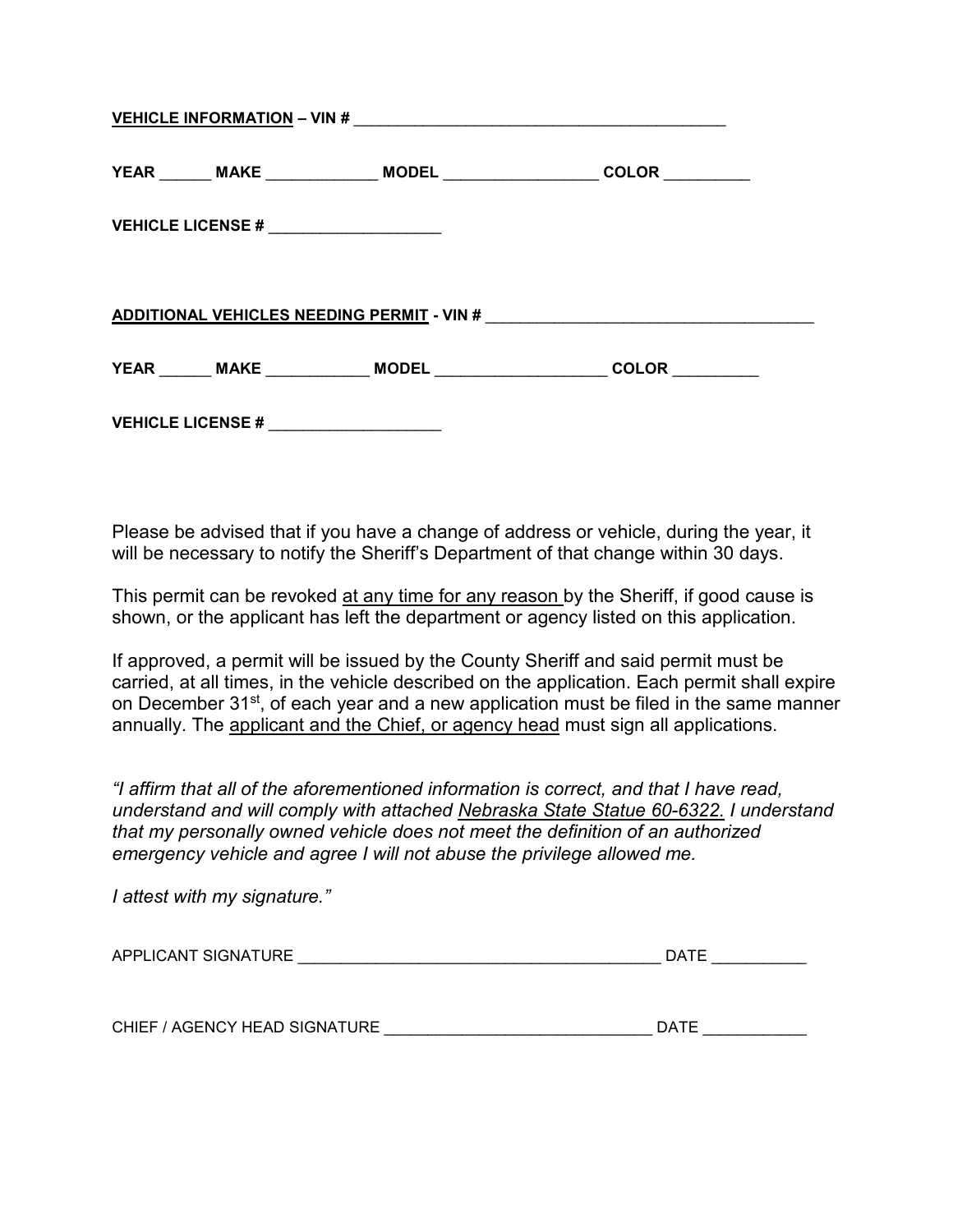|                                        | YEAR _______ MAKE _______________ MODEL __________________ | COLOR                                                                            |
|----------------------------------------|------------------------------------------------------------|----------------------------------------------------------------------------------|
| VEHICLE LICENSE # $\sqrt{2}$           |                                                            |                                                                                  |
|                                        |                                                            | ADDITIONAL VEHICLES NEEDING PERMIT - VIN #                                       |
|                                        |                                                            | YEAR _______ MAKE _____________ MODEL ________________________ COLOR ___________ |
| VEHICLE LICENSE # ____________________ |                                                            |                                                                                  |

Please be advised that if you have a change of address or vehicle, during the year, it will be necessary to notify the Sheriff's Department of that change within 30 days.

This permit can be revoked at any time for any reason by the Sheriff, if good cause is shown, or the applicant has left the department or agency listed on this application.

If approved, a permit will be issued by the County Sheriff and said permit must be carried, at all times, in the vehicle described on the application. Each permit shall expire on December 31<sup>st</sup>, of each year and a new application must be filed in the same manner annually. The applicant and the Chief, or agency head must sign all applications.

*"I affirm that all of the aforementioned information is correct, and that I have read, understand and will comply with attached Nebraska State Statue 60-6322. I understand that my personally owned vehicle does not meet the definition of an authorized emergency vehicle and agree I will not abuse the privilege allowed me.*

| I attest with my signature."  |             |
|-------------------------------|-------------|
| APPLICANT SIGNATURE           | <b>DATE</b> |
| CHIEF / AGENCY HEAD SIGNATURE | <b>DATE</b> |